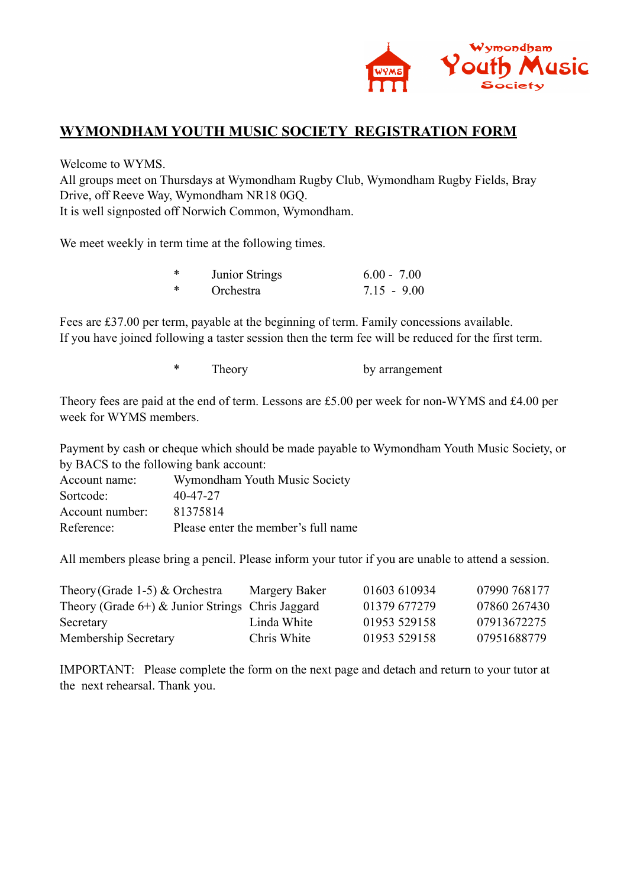

## **WYMONDHAM YOUTH MUSIC SOCIETY REGISTRATION FORM**

Welcome to WYMS.

All groups meet on Thursdays at Wymondham Rugby Club, Wymondham Rugby Fields, Bray Drive, off Reeve Way, Wymondham NR18 0GQ. It is well signposted off Norwich Common, Wymondham.

We meet weekly in term time at the following times.

| ∗ | Junior Strings | $6.00 - 7.00$ |
|---|----------------|---------------|
| * | Orchestra      | $7.15 - 9.00$ |

Fees are £37.00 per term, payable at the beginning of term. Family concessions available. If you have joined following a taster session then the term fee will be reduced for the first term.

\* Theory by arrangement

Theory fees are paid at the end of term. Lessons are £5.00 per week for non-WYMS and £4.00 per week for WYMS members.

Payment by cash or cheque which should be made payable to Wymondham Youth Music Society, or by BACS to the following bank account:

| Account name:   | Wymondham Youth Music Society       |
|-----------------|-------------------------------------|
| Sortcode:       | 40-47-27                            |
| Account number: | 81375814                            |
| Reference:      | Please enter the member's full name |

All members please bring a pencil. Please inform your tutor if you are unable to attend a session.

| Theory (Grade 1-5) $&$ Orchestra                    | Margery Baker | 01603 610934 | 07990 768177 |
|-----------------------------------------------------|---------------|--------------|--------------|
| Theory (Grade $6+$ ) & Junior Strings Chris Jaggard |               | 01379 677279 | 07860 267430 |
| Secretary                                           | Linda White   | 01953 529158 | 07913672275  |
| <b>Membership Secretary</b>                         | Chris White   | 01953 529158 | 07951688779  |

IMPORTANT: Please complete the form on the next page and detach and return to your tutor at the next rehearsal. Thank you.